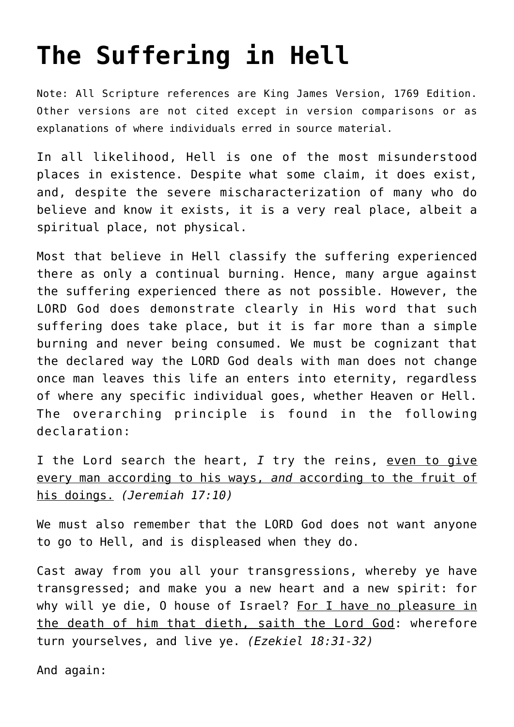# **[The Suffering in Hell](http://reproachofmen.org/doctrines/the-suffering-in-hell/)**

Note: All Scripture references are King James Version, 1769 Edition. Other versions are not cited except in version comparisons or as explanations of where individuals erred in source material.

In all likelihood, Hell is one of the most misunderstood places in existence. Despite what some claim, it does exist, and, despite the severe mischaracterization of many who do believe and know it exists, it is a very real place, albeit a spiritual place, not physical.

Most that believe in Hell classify the suffering experienced there as only a continual burning. Hence, many argue against the suffering experienced there as not possible. However, the LORD God does demonstrate clearly in His word that such suffering does take place, but it is far more than a simple burning and never being consumed. We must be cognizant that the declared way the LORD God deals with man does not change once man leaves this life an enters into eternity, regardless of where any specific individual goes, whether Heaven or Hell. The overarching principle is found in the following declaration:

I the Lord search the heart, *I* try the reins, even to give every man according to his ways, *and* according to the fruit of his doings. *(Jeremiah 17:10)*

We must also remember that the LORD God does not want anyone to go to Hell, and is displeased when they do.

Cast away from you all your transgressions, whereby ye have transgressed; and make you a new heart and a new spirit: for why will ye die, O house of Israel? For I have no pleasure in the death of him that dieth, saith the Lord God: wherefore turn yourselves, and live ye. *(Ezekiel 18:31-32)*

And again: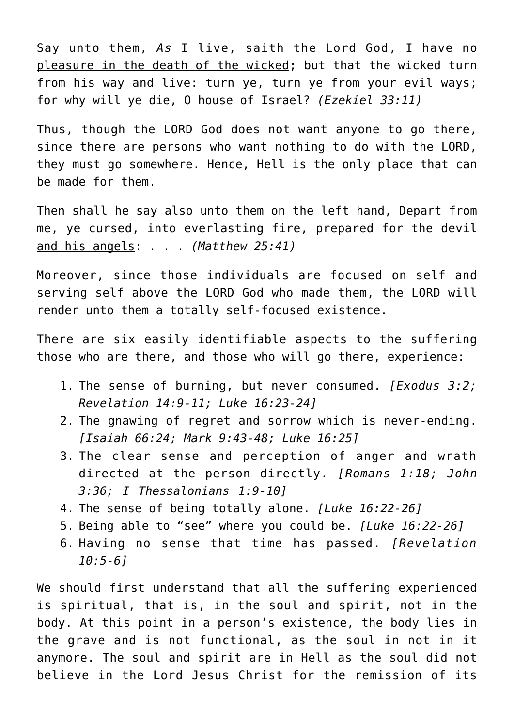Say unto them, *As* I live, saith the Lord God, I have no pleasure in the death of the wicked; but that the wicked turn from his way and live: turn ye, turn ye from your evil ways; for why will ye die, O house of Israel? *(Ezekiel 33:11)*

Thus, though the LORD God does not want anyone to go there, since there are persons who want nothing to do with the LORD, they must go somewhere. Hence, Hell is the only place that can be made for them.

Then shall he say also unto them on the left hand, Depart from me, ye cursed, into everlasting fire, prepared for the devil and his angels: . . . *(Matthew 25:41)*

Moreover, since those individuals are focused on self and serving self above the LORD God who made them, the LORD will render unto them a totally self-focused existence.

There are six easily identifiable aspects to the suffering those who are there, and those who will go there, experience:

- 1. The sense of burning, but never consumed. *[Exodus 3:2; Revelation 14:9-11; Luke 16:23-24]*
- 2. The gnawing of regret and sorrow which is never-ending. *[Isaiah 66:24; Mark 9:43-48; Luke 16:25]*
- 3. The clear sense and perception of anger and wrath directed at the person directly. *[Romans 1:18; John 3:36; I Thessalonians 1:9-10]*
- 4. The sense of being totally alone. *[Luke 16:22-26]*
- 5. Being able to "see" where you could be. *[Luke 16:22-26]*
- 6. Having no sense that time has passed. *[Revelation 10:5-6]*

We should first understand that all the suffering experienced is spiritual, that is, in the soul and spirit, not in the body. At this point in a person's existence, the body lies in the grave and is not functional, as the soul in not in it anymore. The soul and spirit are in Hell as the soul did not believe in the Lord Jesus Christ for the remission of its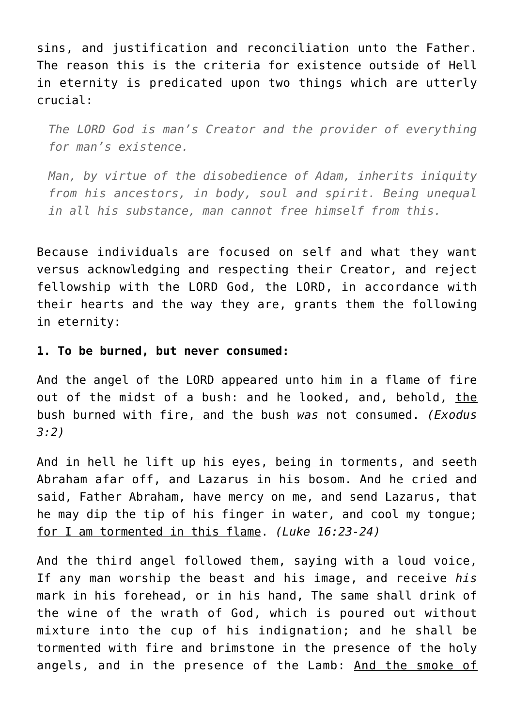sins, and justification and reconciliation unto the Father. The reason this is the criteria for existence outside of Hell in eternity is predicated upon two things which are utterly crucial:

*The LORD God is man's Creator and the provider of everything for man's existence.*

*Man, by virtue of the disobedience of Adam, inherits iniquity from his ancestors, in body, soul and spirit. Being unequal in all his substance, man cannot free himself from this.*

Because individuals are focused on self and what they want versus acknowledging and respecting their Creator, and reject fellowship with the LORD God, the LORD, in accordance with their hearts and the way they are, grants them the following in eternity:

**1. To be burned, but never consumed:**

And the angel of the LORD appeared unto him in a flame of fire out of the midst of a bush: and he looked, and, behold, the bush burned with fire, and the bush *was* not consumed. *(Exodus 3:2)*

And in hell he lift up his eyes, being in torments, and seeth Abraham afar off, and Lazarus in his bosom. And he cried and said, Father Abraham, have mercy on me, and send Lazarus, that he may dip the tip of his finger in water, and cool my tongue; for I am tormented in this flame. *(Luke 16:23-24)*

And the third angel followed them, saying with a loud voice, If any man worship the beast and his image, and receive *his* mark in his forehead, or in his hand, The same shall drink of the wine of the wrath of God, which is poured out without mixture into the cup of his indignation; and he shall be tormented with fire and brimstone in the presence of the holy angels, and in the presence of the Lamb: And the smoke of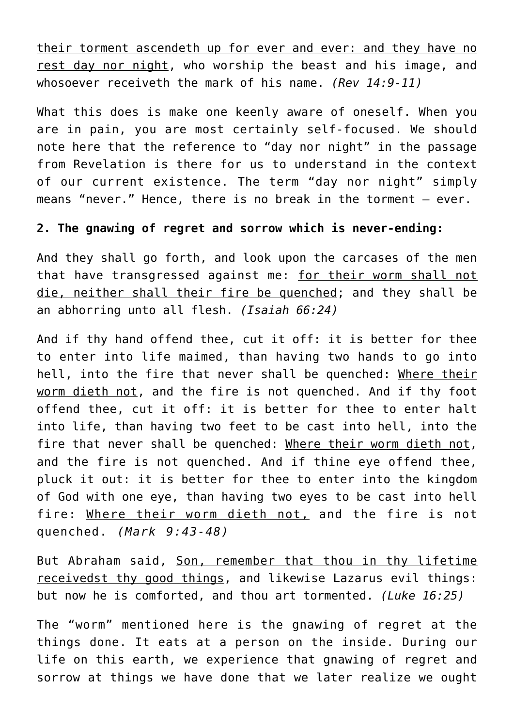their torment ascendeth up for ever and ever: and they have no rest day nor night, who worship the beast and his image, and whosoever receiveth the mark of his name. *(Rev 14:9-11)*

What this does is make one keenly aware of oneself. When you are in pain, you are most certainly self-focused. We should note here that the reference to "day nor night" in the passage from Revelation is there for us to understand in the context of our current existence. The term "day nor night" simply means "never." Hence, there is no break in the torment – ever.

# **2. The gnawing of regret and sorrow which is never-ending:**

And they shall go forth, and look upon the carcases of the men that have transgressed against me: for their worm shall not die, neither shall their fire be quenched; and they shall be an abhorring unto all flesh. *(Isaiah 66:24)*

And if thy hand offend thee, cut it off: it is better for thee to enter into life maimed, than having two hands to go into hell, into the fire that never shall be quenched: Where their worm dieth not, and the fire is not quenched. And if thy foot offend thee, cut it off: it is better for thee to enter halt into life, than having two feet to be cast into hell, into the fire that never shall be quenched: Where their worm dieth not, and the fire is not quenched. And if thine eye offend thee, pluck it out: it is better for thee to enter into the kingdom of God with one eye, than having two eyes to be cast into hell fire: Where their worm dieth not, and the fire is not quenched. *(Mark 9:43-48)*

But Abraham said, Son, remember that thou in thy lifetime receivedst thy good things, and likewise Lazarus evil things: but now he is comforted, and thou art tormented. *(Luke 16:25)*

The "worm" mentioned here is the gnawing of regret at the things done. It eats at a person on the inside. During our life on this earth, we experience that gnawing of regret and sorrow at things we have done that we later realize we ought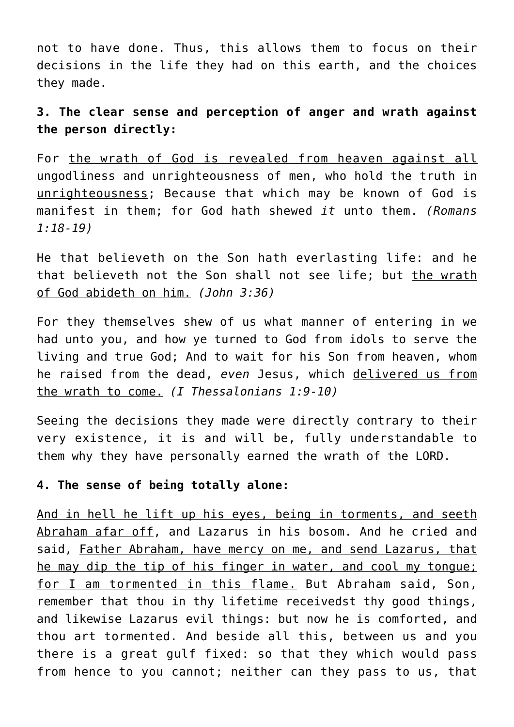not to have done. Thus, this allows them to focus on their decisions in the life they had on this earth, and the choices they made.

# **3. The clear sense and perception of anger and wrath against the person directly:**

For the wrath of God is revealed from heaven against all ungodliness and unrighteousness of men, who hold the truth in unrighteousness; Because that which may be known of God is manifest in them; for God hath shewed *it* unto them. *(Romans 1:18-19)*

He that believeth on the Son hath everlasting life: and he that believeth not the Son shall not see life; but the wrath of God abideth on him. *(John 3:36)*

For they themselves shew of us what manner of entering in we had unto you, and how ye turned to God from idols to serve the living and true God; And to wait for his Son from heaven, whom he raised from the dead, *even* Jesus, which delivered us from the wrath to come. *(I Thessalonians 1:9-10)*

Seeing the decisions they made were directly contrary to their very existence, it is and will be, fully understandable to them why they have personally earned the wrath of the LORD.

#### **4. The sense of being totally alone:**

And in hell he lift up his eyes, being in torments, and seeth Abraham afar off, and Lazarus in his bosom. And he cried and said, Father Abraham, have mercy on me, and send Lazarus, that he may dip the tip of his finger in water, and cool my tongue; for I am tormented in this flame. But Abraham said, Son, remember that thou in thy lifetime receivedst thy good things, and likewise Lazarus evil things: but now he is comforted, and thou art tormented. And beside all this, between us and you there is a great gulf fixed: so that they which would pass from hence to you cannot; neither can they pass to us, that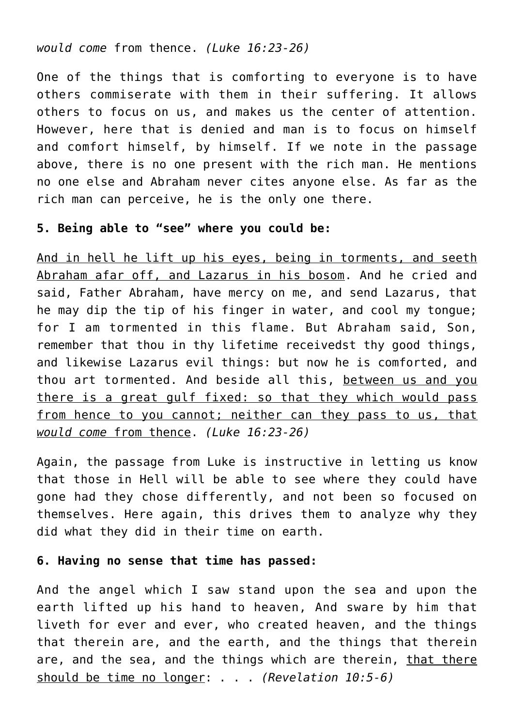#### *would come* from thence. *(Luke 16:23-26)*

One of the things that is comforting to everyone is to have others commiserate with them in their suffering. It allows others to focus on us, and makes us the center of attention. However, here that is denied and man is to focus on himself and comfort himself, by himself. If we note in the passage above, there is no one present with the rich man. He mentions no one else and Abraham never cites anyone else. As far as the rich man can perceive, he is the only one there.

### **5. Being able to "see" where you could be:**

And in hell he lift up his eyes, being in torments, and seeth Abraham afar off, and Lazarus in his bosom. And he cried and said, Father Abraham, have mercy on me, and send Lazarus, that he may dip the tip of his finger in water, and cool my tongue; for I am tormented in this flame. But Abraham said, Son, remember that thou in thy lifetime receivedst thy good things, and likewise Lazarus evil things: but now he is comforted, and thou art tormented. And beside all this, between us and you there is a great gulf fixed: so that they which would pass from hence to you cannot; neither can they pass to us, that *would come* from thence. *(Luke 16:23-26)*

Again, the passage from Luke is instructive in letting us know that those in Hell will be able to see where they could have gone had they chose differently, and not been so focused on themselves. Here again, this drives them to analyze why they did what they did in their time on earth.

# **6. Having no sense that time has passed:**

And the angel which I saw stand upon the sea and upon the earth lifted up his hand to heaven, And sware by him that liveth for ever and ever, who created heaven, and the things that therein are, and the earth, and the things that therein are, and the sea, and the things which are therein, that there should be time no longer: . . . *(Revelation 10:5-6)*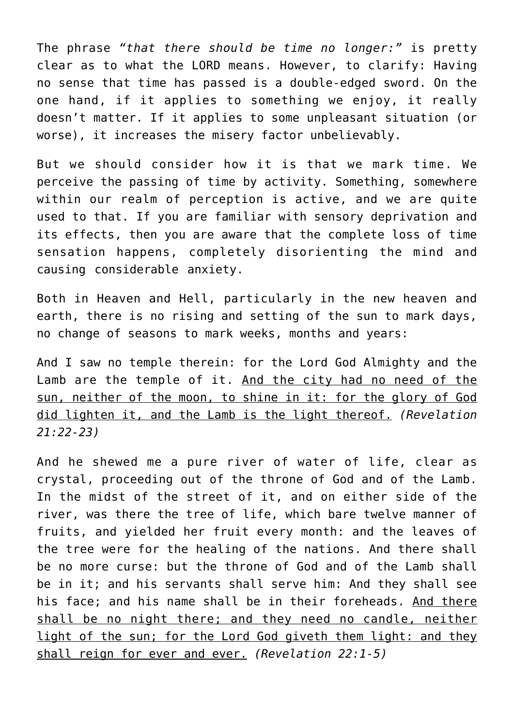The phrase *"that there should be time no longer:"* is pretty clear as to what the LORD means. However, to clarify: Having no sense that time has passed is a double-edged sword. On the one hand, if it applies to something we enjoy, it really doesn't matter. If it applies to some unpleasant situation (or worse), it increases the misery factor unbelievably.

But we should consider how it is that we mark time. We perceive the passing of time by activity. Something, somewhere within our realm of perception is active, and we are quite used to that. If you are familiar with sensory deprivation and its effects, then you are aware that the complete loss of time sensation happens, completely disorienting the mind and causing considerable anxiety.

Both in Heaven and Hell, particularly in the new heaven and earth, there is no rising and setting of the sun to mark days, no change of seasons to mark weeks, months and years:

And I saw no temple therein: for the Lord God Almighty and the Lamb are the temple of it. And the city had no need of the sun, neither of the moon, to shine in it: for the glory of God did lighten it, and the Lamb is the light thereof. *(Revelation 21:22-23)*

And he shewed me a pure river of water of life, clear as crystal, proceeding out of the throne of God and of the Lamb. In the midst of the street of it, and on either side of the river, was there the tree of life, which bare twelve manner of fruits, and yielded her fruit every month: and the leaves of the tree were for the healing of the nations. And there shall be no more curse: but the throne of God and of the Lamb shall be in it; and his servants shall serve him: And they shall see his face; and his name shall be in their foreheads. And there shall be no night there; and they need no candle, neither light of the sun; for the Lord God giveth them light: and they shall reign for ever and ever. *(Revelation 22:1-5)*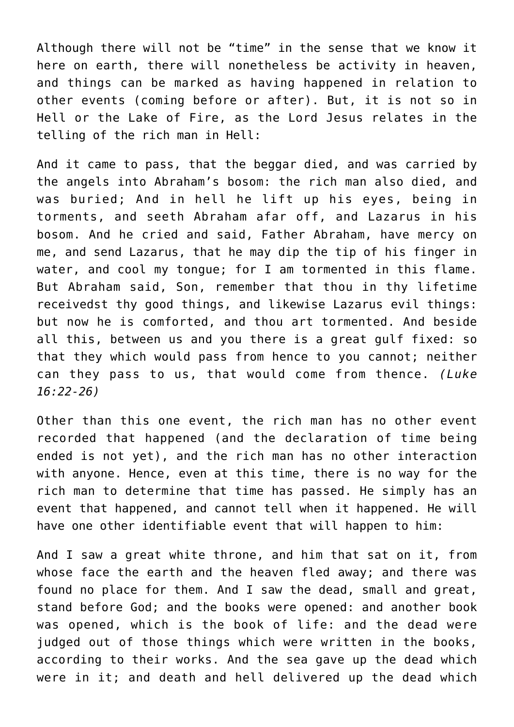Although there will not be "time" in the sense that we know it here on earth, there will nonetheless be activity in heaven, and things can be marked as having happened in relation to other events (coming before or after). But, it is not so in Hell or the Lake of Fire, as the Lord Jesus relates in the telling of the rich man in Hell:

And it came to pass, that the beggar died, and was carried by the angels into Abraham's bosom: the rich man also died, and was buried; And in hell he lift up his eyes, being in torments, and seeth Abraham afar off, and Lazarus in his bosom. And he cried and said, Father Abraham, have mercy on me, and send Lazarus, that he may dip the tip of his finger in water, and cool my tongue; for I am tormented in this flame. But Abraham said, Son, remember that thou in thy lifetime receivedst thy good things, and likewise Lazarus evil things: but now he is comforted, and thou art tormented. And beside all this, between us and you there is a great gulf fixed: so that they which would pass from hence to you cannot; neither can they pass to us, that would come from thence. *(Luke 16:22-26)*

Other than this one event, the rich man has no other event recorded that happened (and the declaration of time being ended is not yet), and the rich man has no other interaction with anyone. Hence, even at this time, there is no way for the rich man to determine that time has passed. He simply has an event that happened, and cannot tell when it happened. He will have one other identifiable event that will happen to him:

And I saw a great white throne, and him that sat on it, from whose face the earth and the heaven fled away; and there was found no place for them. And I saw the dead, small and great, stand before God; and the books were opened: and another book was opened, which is the book of life: and the dead were judged out of those things which were written in the books, according to their works. And the sea gave up the dead which were in it; and death and hell delivered up the dead which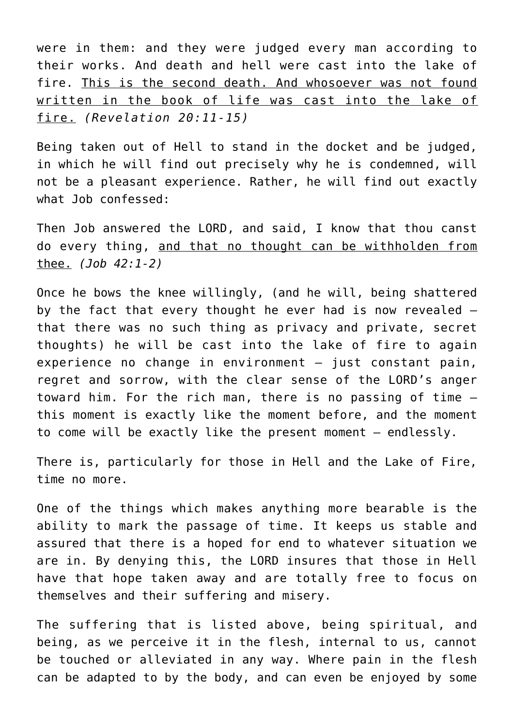were in them: and they were judged every man according to their works. And death and hell were cast into the lake of fire. This is the second death. And whosoever was not found written in the book of life was cast into the lake of fire. *(Revelation 20:11-15)*

Being taken out of Hell to stand in the docket and be judged, in which he will find out precisely why he is condemned, will not be a pleasant experience. Rather, he will find out exactly what Job confessed:

Then Job answered the LORD, and said, I know that thou canst do every thing, and that no thought can be withholden from thee. *(Job 42:1-2)*

Once he bows the knee willingly, (and he will, being shattered by the fact that every thought he ever had is now revealed – that there was no such thing as privacy and private, secret thoughts) he will be cast into the lake of fire to again experience no change in environment – just constant pain, regret and sorrow, with the clear sense of the LORD's anger toward him. For the rich man, there is no passing of time – this moment is exactly like the moment before, and the moment to come will be exactly like the present moment – endlessly.

There is, particularly for those in Hell and the Lake of Fire, time no more.

One of the things which makes anything more bearable is the ability to mark the passage of time. It keeps us stable and assured that there is a hoped for end to whatever situation we are in. By denying this, the LORD insures that those in Hell have that hope taken away and are totally free to focus on themselves and their suffering and misery.

The suffering that is listed above, being spiritual, and being, as we perceive it in the flesh, internal to us, cannot be touched or alleviated in any way. Where pain in the flesh can be adapted to by the body, and can even be enjoyed by some